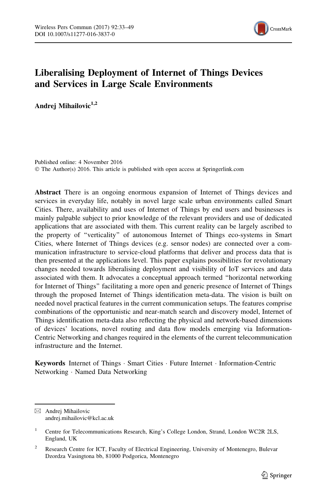

# Liberalising Deployment of Internet of Things Devices and Services in Large Scale Environments

Andrej Mihailovic<sup>1,2</sup>

Published online: 4 November 2016 © The Author(s) 2016. This article is published with open access at Springerlink.com

Abstract There is an ongoing enormous expansion of Internet of Things devices and services in everyday life, notably in novel large scale urban environments called Smart Cities. There, availability and uses of Internet of Things by end users and businesses is mainly palpable subject to prior knowledge of the relevant providers and use of dedicated applications that are associated with them. This current reality can be largely ascribed to the property of ''verticality'' of autonomous Internet of Things eco-systems in Smart Cities, where Internet of Things devices (e.g. sensor nodes) are connected over a communication infrastructure to service-cloud platforms that deliver and process data that is then presented at the applications level. This paper explains possibilities for revolutionary changes needed towards liberalising deployment and visibility of IoT services and data associated with them. It advocates a conceptual approach termed ''horizontal networking for Internet of Things'' facilitating a more open and generic presence of Internet of Things through the proposed Internet of Things identification meta-data. The vision is built on needed novel practical features in the current communication setups. The features comprise combinations of the opportunistic and near-match search and discovery model, Internet of Things identification meta-data also reflecting the physical and network-based dimensions of devices' locations, novel routing and data flow models emerging via Information-Centric Networking and changes required in the elements of the current telecommunication infrastructure and the Internet.

Keywords Internet of Things - Smart Cities - Future Internet - Information-Centric Networking - Named Data Networking

 $\boxtimes$  Andrej Mihailovic andrej.mihailovic@kcl.ac.uk

<sup>&</sup>lt;sup>1</sup> Centre for Telecommunications Research, King's College London, Strand, London WC2R 2LS, England, UK

<sup>&</sup>lt;sup>2</sup> Research Centre for ICT, Faculty of Electrical Engineering, University of Montenegro, Bulevar Dzordza Vasingtona bb, 81000 Podgorica, Montenegro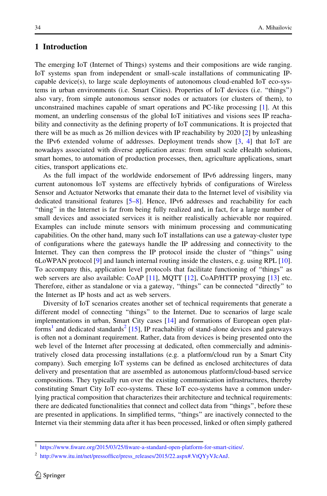## 1 Introduction

The emerging IoT (Internet of Things) systems and their compositions are wide ranging. IoT systems span from independent or small-scale installations of communicating IPcapable device(s), to large scale deployments of autonomous cloud-enabled IoT eco-systems in urban environments (i.e. Smart Cities). Properties of IoT devices (i.e. ''things'') also vary, from simple autonomous sensor nodes or actuators (or clusters of them), to unconstrained machines capable of smart operations and PC-like processing [\[1\]](#page-15-0). At this moment, an underling consensus of the global IoT initiatives and visions sees IP reachability and connectivity as the defining property of IoT communications. It is projected that there will be as much as 26 million devices with IP reachability by 2020 [\[2\]](#page-15-0) by unleashing the IPv6 extended volume of addresses. Deployment trends show [[3](#page-15-0), [4](#page-15-0)] that IoT are nowadays associated with diverse application areas: from small scale eHealth solutions, smart homes, to automation of production processes, then, agriculture applications, smart cities, transport applications etc.

As the full impact of the worldwide endorsement of IPv6 addressing lingers, many current autonomous IoT systems are effectively hybrids of configurations of Wireless Sensor and Actuator Networks that emanate their data to the Internet level of visibility via dedicated transitional features [[5–8](#page-15-0)]. Hence, IPv6 addresses and reachability for each ''thing'' in the Internet is far from being fully realized and, in fact, for a large number of small devices and associated services it is neither realistically achievable nor required. Examples can include minute sensors with minimum processing and communicating capabilities. On the other hand, many such IoT installations can use a gateway-cluster type of configurations where the gateways handle the IP addressing and connectivity to the Internet. They can then compress the IP protocol inside the cluster of ''things'' using 6LoWPAN protocol [\[9\]](#page-15-0) and launch internal routing inside the clusters, e.g. using RPL [[10](#page-15-0)]. To accompany this, application level protocols that facilitate functioning of ''things'' as web servers are also available: CoAP [[11](#page-15-0)], MQTT [\[12\]](#page-15-0), CoAP/HTTP proxying [\[13\]](#page-15-0) etc. Therefore, either as standalone or via a gateway, ''things'' can be connected ''directly'' to the Internet as IP hosts and act as web servers.

Diversity of IoT scenarios creates another set of technical requirements that generate a different model of connecting ''things'' to the Internet. Due to scenarios of large scale implementations in urban, Smart City cases [\[14\]](#page-15-0) and formations of European open plat-forms<sup>1</sup> and dedicated standards<sup>2</sup> [\[15](#page-15-0)], IP reachability of stand-alone devices and gateways is often not a dominant requirement. Rather, data from devices is being presented onto the web level of the Internet after processing at dedicated, often commercially and administratively closed data processing installations (e.g. a platform/cloud run by a Smart City company). Such emerging IoT systems can be defined as enclosed architectures of data delivery and presentation that are assembled as autonomous platform/cloud-based service compositions. They typically run over the existing communication infrastructures, thereby constituting Smart City IoT eco-systems. These IoT eco-systems have a common underlying practical composition that characterizes their architecture and technical requirements: there are dedicated functionalities that connect and collect data from ''things'', before these are presented in applications. In simplified terms, ''things'' are inactively connected to the Internet via their stemming data after it has been processed, linked or often simply gathered

<https://www.fiware.org/2015/03/25/fiware-a-standard-open-platform-for-smart-cities/>.

<sup>2</sup> [http://www.itu.int/net/pressoffice/press\\_releases/2015/22.aspx#.VtQYyVJcAnJ.](http://www.itu.int/net/pressoffice/press_releases/2015/22.aspx%23.VtQYyVJcAnJ)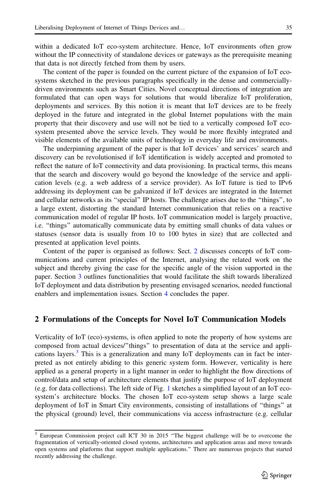<span id="page-2-0"></span>within a dedicated IoT eco-system architecture. Hence, IoT environments often grow without the IP connectivity of standalone devices or gateways as the prerequisite meaning that data is not directly fetched from them by users.

The content of the paper is founded on the current picture of the expansion of IoT ecosystems sketched in the previous paragraphs specifically in the dense and commerciallydriven environments such as Smart Cities. Novel conceptual directions of integration are formulated that can open ways for solutions that would liberalize IoT proliferation, deployments and services. By this notion it is meant that IoT devices are to be freely deployed in the future and integrated in the global Internet populations with the main property that their discovery and use will not be tied to a vertically composed IoT ecosystem presented above the service levels. They would be more flexibly integrated and visible elements of the available units of technology in everyday life and environments.

The underpinning argument of the paper is that IoT devices' and services' search and discovery can be revolutionised if IoT identification is widely accepted and promoted to reflect the nature of IoT connectivity and data provisioning. In practical terms, this means that the search and discovery would go beyond the knowledge of the service and application levels (e.g. a web address of a service provider). As IoT future is tied to IPv6 addressing its deployment can be galvanized if IoT devices are integrated in the Internet and cellular networks as its ''special'' IP hosts. The challenge arises due to the ''things'', to a large extent, distorting the standard Internet communication that relies on a reactive communication model of regular IP hosts. IoT communication model is largely proactive, i.e. ''things'' automatically communicate data by emitting small chunks of data values or statuses (sensor data is usually from 10 to 100 bytes in size) that are collected and presented at application level points.

Content of the paper is organised as follows: Sect. 2 discusses concepts of IoT communications and current principles of the Internet, analysing the related work on the subject and thereby giving the case for the specific angle of the vision supported in the paper. Section [3](#page-8-0) outlines functionalities that would facilitate the shift towards liberalized IoT deployment and data distribution by presenting envisaged scenarios, needed functional enablers and implementation issues. Section [4](#page-14-0) concludes the paper.

# 2 Formulations of the Concepts for Novel IoT Communication Models

Verticality of IoT (eco)-systems, is often applied to note the property of how systems are composed from actual devices/''things'' to presentation of data at the service and applications layers.3 This is a generalization and many IoT deployments can in fact be interpreted as not entirely abiding to this generic system form. However, verticality is here applied as a general property in a light manner in order to highlight the flow directions of control/data and setup of architecture elements that justify the purpose of IoT deployment (e.g. for data collections). The left side of Fig. [1](#page-3-0) sketches a simplified layout of an IoT ecosystem's architecture blocks. The chosen IoT eco-system setup shows a large scale deployment of IoT in Smart City environments, consisting of installations of ''things'' at the physical (ground) level, their communications via access infrastructure (e.g. cellular

<sup>&</sup>lt;sup>3</sup> European Commission project call ICT 30 in 2015 "The biggest challenge will be to overcome the fragmentation of vertically-oriented closed systems, architectures and application areas and move towards open systems and platforms that support multiple applications.'' There are numerous projects that started recently addressing the challenge.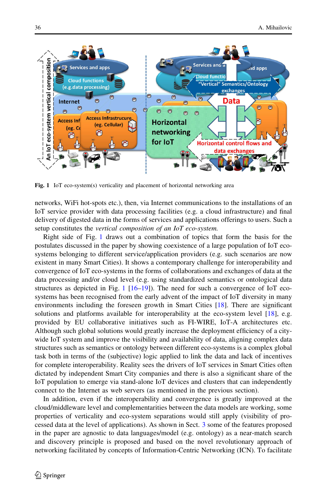<span id="page-3-0"></span>

Fig. 1 IoT eco-system(s) verticality and placement of horizontal networking area

networks, WiFi hot-spots etc.), then, via Internet communications to the installations of an IoT service provider with data processing facilities (e.g. a cloud infrastructure) and final delivery of digested data in the forms of services and applications offerings to users. Such a setup constitutes the vertical composition of an IoT eco-system.

Right side of Fig. 1 draws out a combination of topics that form the basis for the postulates discussed in the paper by showing coexistence of a large population of IoT ecosystems belonging to different service/application providers (e.g. such scenarios are now existent in many Smart Cities). It shows a contemporary challenge for interoperability and convergence of IoT eco-systems in the forms of collaborations and exchanges of data at the data processing and/or cloud level (e.g. using standardized semantics or ontological data structures as depicted in Fig. 1 [[16](#page-15-0)–[19](#page-15-0)]). The need for such a convergence of IoT ecosystems has been recognised from the early advent of the impact of IoT diversity in many environments including the foreseen growth in Smart Cities [\[18\]](#page-15-0). There are significant solutions and platforms available for interoperability at the eco-system level [[18](#page-15-0)], e.g. provided by EU collaborative initiatives such as FI-WIRE, IoT-A architectures etc. Although such global solutions would greatly increase the deployment efficiency of a citywide IoT system and improve the visibility and availability of data, aligning complex data structures such as semantics or ontology between different eco-systems is a complex global task both in terms of the (subjective) logic applied to link the data and lack of incentives for complete interoperability. Reality sees the drivers of IoT services in Smart Cities often dictated by independent Smart City companies and there is also a significant share of the IoT population to emerge via stand-alone IoT devices and clusters that can independently connect to the Internet as web servers (as mentioned in the previous section).

In addition, even if the interoperability and convergence is greatly improved at the cloud/middleware level and complementarities between the data models are working, some properties of verticality and eco-system separations would still apply (visibility of processed data at the level of applications). As shown in Sect. [3](#page-8-0) some of the features proposed in the paper are agnostic to data languages/model (e.g. ontology) as a near-match search and discovery principle is proposed and based on the novel revolutionary approach of networking facilitated by concepts of Information-Centric Networking (ICN). To facilitate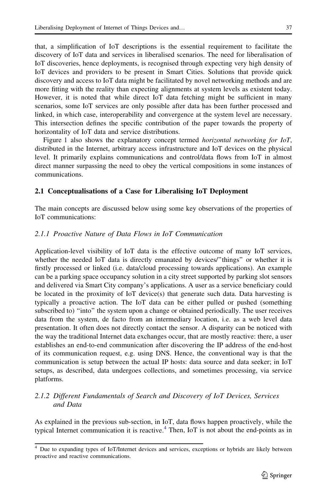<span id="page-4-0"></span>that, a simplification of IoT descriptions is the essential requirement to facilitate the discovery of IoT data and services in liberalised scenarios. The need for liberalisation of IoT discoveries, hence deployments, is recognised through expecting very high density of IoT devices and providers to be present in Smart Cities. Solutions that provide quick discovery and access to IoT data might be facilitated by novel networking methods and are more fitting with the reality than expecting alignments at system levels as existent today. However, it is noted that while direct IoT data fetching might be sufficient in many scenarios, some IoT services are only possible after data has been further processed and linked, in which case, interoperability and convergence at the system level are necessary. This intersection defines the specific contribution of the paper towards the property of horizontality of IoT data and service distributions.

Figure [1](#page-3-0) also shows the explanatory concept termed *horizontal networking for IoT*, distributed in the Internet, arbitrary access infrastructure and IoT devices on the physical level. It primarily explains communications and control/data flows from IoT in almost direct manner surpassing the need to obey the vertical compositions in some instances of communications.

# 2.1 Conceptualisations of a Case for Liberalising IoT Deployment

The main concepts are discussed below using some key observations of the properties of IoT communications:

# 2.1.1 Proactive Nature of Data Flows in IoT Communication

Application-level visibility of IoT data is the effective outcome of many IoT services, whether the needed IoT data is directly emanated by devices/''things'' or whether it is firstly processed or linked (i.e. data/cloud processing towards applications). An example can be a parking space occupancy solution in a city street supported by parking slot sensors and delivered via Smart City company's applications. A user as a service beneficiary could be located in the proximity of IoT device(s) that generate such data. Data harvesting is typically a proactive action. The IoT data can be either pulled or pushed (something subscribed to) "into" the system upon a change or obtained periodically. The user receives data from the system, de facto from an intermediary location, i.e. as a web level data presentation. It often does not directly contact the sensor. A disparity can be noticed with the way the traditional Internet data exchanges occur, that are mostly reactive: there, a user establishes an end-to-end communication after discovering the IP address of the end-host of its communication request, e.g. using DNS. Hence, the conventional way is that the communication is setup between the actual IP hosts: data source and data seeker; in IoT setups, as described, data undergoes collections, and sometimes processing, via service platforms.

# 2.1.2 Different Fundamentals of Search and Discovery of IoT Devices, Services and Data

As explained in the previous sub-section, in IoT, data flows happen proactively, while the typical Internet communication it is reactive.<sup>4</sup> Then, IoT is not about the end-points as in

Due to expanding types of IoT/Internet devices and services, exceptions or hybrids are likely between proactive and reactive communications.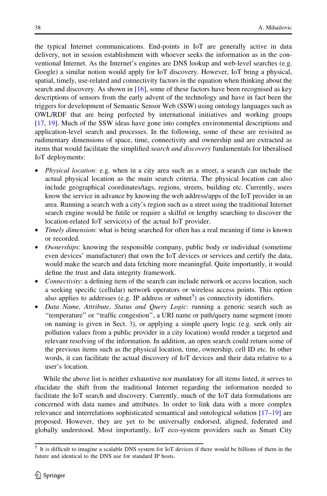the typical Internet communications. End-points in IoT are generally active in data delivery, not in session establishment with whoever seeks the information as in the conventional Internet. As the Internet's engines are DNS lookup and web-level searches (e.g. Google) a similar notion would apply for IoT discovery. However, IoT bring a physical, spatial, timely, use-related and connectivity factors in the equation when thinking about the search and discovery. As shown in [\[16\]](#page-15-0), some of these factors have been recognised as key descriptions of sensors from the early advent of the technology and have in fact been the triggers for development of Semantic Sensor Web (SSW) using ontology languages such as OWL/RDF that are being perfected by international initiatives and working groups [[17](#page-15-0), [19](#page-15-0)]. Much of the SSW ideas have gone into complex environmental descriptions and application-level search and processes. In the following, some of these are revisited as rudimentary dimensions of space, time, connectivity and ownership and are extracted as items that would facilitate the simplified *search and discovery* fundamentals for liberalised IoT deployments:

- Physical location: e.g. when in a city area such as a street, a search can include the actual physical location as the main search criteria. The physical location can also include geographical coordinates/tags, regions, streets, building etc. Currently, users know the service in advance by knowing the web address/apps of the IoT provider in an area. Running a search with a city's region such as a street using the traditional Internet search engine would be futile or require a skilful or lengthy searching to discover the location-related IoT service(s) of the actual IoT provider.
- Timely dimension: what is being searched for often has a real meaning if time is known or recorded.
- *Ownerships:* knowing the responsible company, public body or individual (sometime even devices' manufacturer) that own the IoT devices or services and certify the data, would make the search and data fetching more meaningful. Quite importantly, it would define the trust and data integrity framework.
- Connectivity: a defining item of the search can include network or access location, such a seeking specific (cellular) network operators or wireless access points. This option also applies to addresses (e.g. IP address or subnet<sup>5</sup>) as connectivity identifiers.
- Data Name, Attribute, Status and Query Logic: running a generic search such as ''temperature'' or ''traffic congestion'', a URI name or path/query name segment (more on naming is given in Sect. [3](#page-8-0)), or applying a simple query logic (e.g. seek only air pollution values from a public provider in a city location) would render a targeted and relevant resolving of the information. In addition, an open search could return some of the previous items such as the physical location, time, ownership, cell ID etc. In other words, it can facilitate the actual discovery of IoT devices and their data relative to a user's location.

While the above list is neither exhaustive nor mandatory for all items listed, it serves to elucidate the shift from the traditional Internet regarding the information needed to facilitate the IoT search and discovery. Currently, much of the IoT data formulations are concerned with data names and attributes. In order to link data with a more complex relevance and interrelations sophisticated semantical and ontological solution [\[17–19\]](#page-15-0) are proposed. However, they are yet to be universally endorsed, aligned, federated and globally understood. Most importantly, IoT eco-system providers such as Smart City

<sup>5</sup> It is difficult to imagine a scalable DNS system for IoT devices if there would be billions of them in the future and identical to the DNS use for standard IP hosts.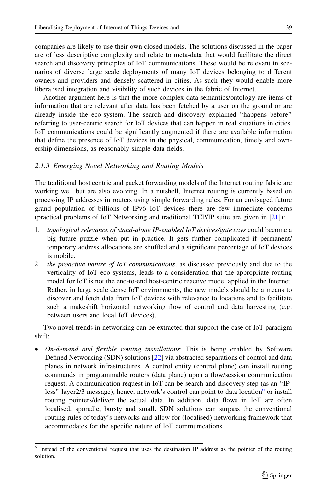companies are likely to use their own closed models. The solutions discussed in the paper are of less descriptive complexity and relate to meta-data that would facilitate the direct search and discovery principles of IoT communications. These would be relevant in scenarios of diverse large scale deployments of many IoT devices belonging to different owners and providers and densely scattered in cities. As such they would enable more liberalised integration and visibility of such devices in the fabric of Internet.

Another argument here is that the more complex data semantics/ontology are items of information that are relevant after data has been fetched by a user on the ground or are already inside the eco-system. The search and discovery explained ''happens before'' referring to user-centric search for IoT devices that can happen in real situations in cities. IoT communications could be significantly augmented if there are available information that define the presence of IoT devices in the physical, communication, timely and ownership dimensions, as reasonably simple data fields.

#### 2.1.3 Emerging Novel Networking and Routing Models

The traditional host centric and packet forwarding models of the Internet routing fabric are working well but are also evolving. In a nutshell, Internet routing is currently based on processing IP addresses in routers using simple forwarding rules. For an envisaged future grand population of billions of IPv6 IoT devices there are few immediate concerns (practical problems of IoT Networking and traditional TCP/IP suite are given in [\[21\]](#page-15-0)):

- 1. topological relevance of stand-alone IP-enabled IoT devices/gateways could become a big future puzzle when put in practice. It gets further complicated if permanent/ temporary address allocations are shuffled and a significant percentage of IoT devices is mobile.
- 2. the proactive nature of IoT communications, as discussed previously and due to the verticality of IoT eco-systems, leads to a consideration that the appropriate routing model for IoT is not the end-to-end host-centric reactive model applied in the Internet. Rather, in large scale dense IoT environments, the new models should be a means to discover and fetch data from IoT devices with relevance to locations and to facilitate such a makeshift horizontal networking flow of control and data harvesting (e.g. between users and local IoT devices).

Two novel trends in networking can be extracted that support the case of IoT paradigm shift:

• On-demand and flexible routing installations: This is being enabled by Software Defined Networking (SDN) solutions [\[22\]](#page-15-0) via abstracted separations of control and data planes in network infrastructures. A control entity (control plane) can install routing commands in programmable routers (data plane) upon a flow/session communication request. A communication request in IoT can be search and discovery step (as an ''IPless" layer2/3 message), hence, network's control can point to data location $<sup>6</sup>$  or install</sup> routing pointers/deliver the actual data. In addition, data flows in IoT are often localised, sporadic, bursty and small. SDN solutions can surpass the conventional routing rules of today's networks and allow for (localised) networking framework that accommodates for the specific nature of IoT communications.

Instead of the conventional request that uses the destination IP address as the pointer of the routing solution.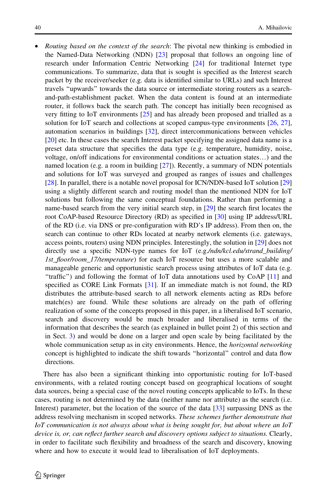• Routing based on the context of the search: The pivotal new thinking is embodied in the Named-Data Networking (NDN) [[23](#page-16-0)] proposal that follows an ongoing line of research under Information Centric Networking [\[24\]](#page-16-0) for traditional Internet type communications. To summarize, data that is sought is specified as the Interest search packet by the receiver/seeker (e.g. data is identified similar to URLs) and such Interest travels ''upwards'' towards the data source or intermediate storing routers as a searchand-path-establishment packet. When the data content is found at an intermediate router, it follows back the search path. The concept has initially been recognised as very fitting to IoT environments [[25](#page-16-0)] and has already been proposed and trialled as a solution for IoT search and collections at scoped campus-type environments [[26](#page-16-0), [27](#page-16-0)], automation scenarios in buildings [[32](#page-16-0)], direct intercommunications between vehicles [[20](#page-15-0)] etc. In these cases the search Interest packet specifying the assigned data name is a preset data structure that specifies the data type (e.g. temperature, humidity, noise, voltage, on/off indications for environmental conditions or actuation states…) and the named location (e.g. a room in building [[27](#page-16-0)]). Recently, a summary of NDN potentials and solutions for IoT was surveyed and grouped as ranges of issues and challenges [[28](#page-16-0)]. In parallel, there is a notable novel proposal for ICN/NDN-based IoT solution [[29](#page-16-0)] using a slightly different search and routing model than the mentioned NDN for IoT solutions but following the same conceptual foundations. Rather than performing a name-based search from the very initial search step, in [\[29\]](#page-16-0) the search first locates the root CoAP-based Resource Directory (RD) as specified in [[30](#page-16-0)] using IP address/URL of the RD (i.e. via DNS or pre-configuration with RD's IP address). From then on, the search can continue to other RDs located at nearby network elements (i.e. gateways, access points, routers) using NDN principles. Interestingly, the solution in [\[29](#page-16-0)] does not directly use a specific NDN-type names for IoT (e.g./ndn/kcl.edu/strand\_building/ 1st\_floor/room\_17/temperature) for each IoT resource but uses a more scalable and manageable generic and opportunistic search process using attributes of IoT data (e.g. ''traffic'') and following the format of IoT data annotations used by CoAP [[11](#page-15-0)] and specified as CORE Link Formats [[31](#page-16-0)]. If an immediate match is not found, the RD distributes the attribute-based search to all network elements acting as RDs before match(es) are found. While these solutions are already on the path of offering realization of some of the concepts proposed in this paper, in a liberalised IoT scenario, search and discovery would be much broader and liberalised in terms of the information that describes the search (as explained in bullet point 2) of this section and in Sect. [3\)](#page-8-0) and would be done on a larger and open scale by being facilitated by the whole communication setup as in city environments. Hence, the *horizontal networking* concept is highlighted to indicate the shift towards ''horizontal'' control and data flow directions.

There has also been a significant thinking into opportunistic routing for IoT-based environments, with a related routing concept based on geographical locations of sought data sources, being a special case of the novel routing concepts applicable to IoTs. In these cases, routing is not determined by the data (neither name nor attribute) as the search (i.e. Interest) parameter, but the location of the source of the data [[33\]](#page-16-0) surpassing DNS as the address resolving mechanism in scoped networks. These schemes further demonstrate that IoT communication is not always about what is being sought for, but about where an IoT device is, or, can reflect further search and discovery options subject to situations. Clearly, in order to facilitate such flexibility and broadness of the search and discovery, knowing where and how to execute it would lead to liberalisation of IoT deployments.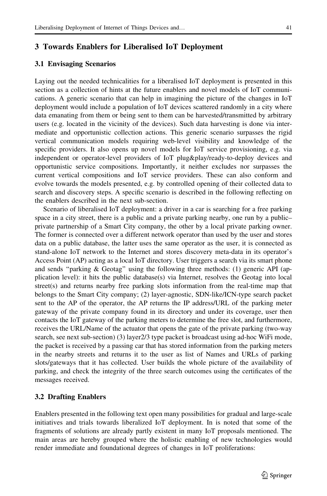## <span id="page-8-0"></span>3 Towards Enablers for Liberalised IoT Deployment

#### 3.1 Envisaging Scenarios

Laying out the needed technicalities for a liberalised IoT deployment is presented in this section as a collection of hints at the future enablers and novel models of IoT communications. A generic scenario that can help in imagining the picture of the changes in IoT deployment would include a population of IoT devices scattered randomly in a city where data emanating from them or being sent to them can be harvested/transmitted by arbitrary users (e.g. located in the vicinity of the devices). Such data harvesting is done via intermediate and opportunistic collection actions. This generic scenario surpasses the rigid vertical communication models requiring web-level visibility and knowledge of the specific providers. It also opens up novel models for IoT service provisioning, e.g. via independent or operator-level providers of IoT plug&play/ready-to-deploy devices and opportunistic service compositions. Importantly, it neither excludes nor surpasses the current vertical compositions and IoT service providers. These can also conform and evolve towards the models presented, e.g. by controlled opening of their collected data to search and discovery steps. A specific scenario is described in the following reflecting on the enablers described in the next sub-section.

Scenario of liberalised IoT deployment: a driver in a car is searching for a free parking space in a city street, there is a public and a private parking nearby, one run by a public– private partnership of a Smart City company, the other by a local private parking owner. The former is connected over a different network operator than used by the user and stores data on a public database, the latter uses the same operator as the user, it is connected as stand-alone IoT network to the Internet and stores discovery meta-data in its operator's Access Point (AP) acting as a local IoT directory. User triggers a search via its smart phone and sends ''parking & Geotag'' using the following three methods: (1) generic API (application level): it hits the public database(s) via Internet, resolves the Geotag into local street(s) and returns nearby free parking slots information from the real-time map that belongs to the Smart City company; (2) layer-agnostic, SDN-like/ICN-type search packet sent to the AP of the operator, the AP returns the IP address/URL of the parking meter gateway of the private company found in its directory and under its coverage, user then contacts the IoT gateway of the parking meters to determine the free slot, and furthermore, receives the URL/Name of the actuator that opens the gate of the private parking (two-way search, see next sub-section) (3) layer2/3 type packet is broadcast using ad-hoc WiFi mode, the packet is received by a passing car that has stored information from the parking meters in the nearby streets and returns it to the user as list of Names and URLs of parking slots/gateways that it has collected. User builds the whole picture of the availability of parking, and check the integrity of the three search outcomes using the certificates of the messages received.

### 3.2 Drafting Enablers

Enablers presented in the following text open many possibilities for gradual and large-scale initiatives and trials towards liberalized IoT deployment. In is noted that some of the fragments of solutions are already partly existent in many IoT proposals mentioned. The main areas are hereby grouped where the holistic enabling of new technologies would render immediate and foundational degrees of changes in IoT proliferations: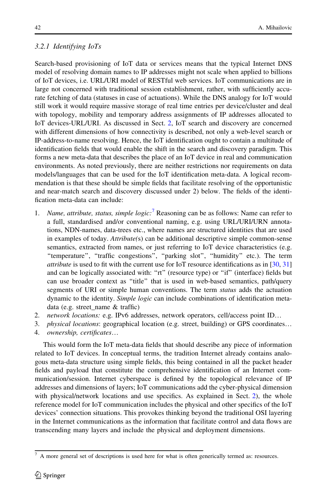# 3.2.1 Identifying IoTs

Search-based provisioning of IoT data or services means that the typical Internet DNS model of resolving domain names to IP addresses might not scale when applied to billions of IoT devices, i.e. URL/URI model of RESTful web services. IoT communications are in large not concerned with traditional session establishment, rather, with sufficiently accurate fetching of data (statuses in case of actuations). While the DNS analogy for IoT would still work it would require massive storage of real time entries per device/cluster and deal with topology, mobility and temporary address assignments of IP addresses allocated to IoT devices-URL/URI. As discussed in Sect. [2](#page-2-0), IoT search and discovery are concerned with different dimensions of how connectivity is described, not only a web-level search or IP-address-to-name resolving. Hence, the IoT identification ought to contain a multitude of identification fields that would enable the shift in the search and discovery paradigm. This forms a new meta-data that describes the place of an IoT device in real and communication environments. As noted previously, there are neither restrictions nor requirements on data models/languages that can be used for the IoT identification meta-data. A logical recommendation is that these should be simple fields that facilitate resolving of the opportunistic and near-match search and discovery discussed under 2) below. The fields of the identification meta-data can include:

- 1. Name, attribute, status, simple logic:<sup>7</sup> Reasoning can be as follows: Name can refer to a full, standardised and/or conventional naming, e.g. using URL/URI/URN annotations, NDN-names, data-trees etc., where names are structured identities that are used in examples of today.  $Attribute(s)$  can be additional descriptive simple common-sense semantics, extracted from names, or just referring to IoT device characteristics (e.g. ''temperature'', ''traffic congestions'', ''parking slot'', ''humidity'' etc.). The term attribute is used to fit with the current use for IoT resource identifications as in [[30](#page-16-0), [31](#page-16-0)] and can be logically associated with: "rt" (resource type) or "if" (interface) fields but can use broader context as ''title'' that is used in web-based semantics, path/query segments of URI or simple human conventions. The term status adds the actuation dynamic to the identity. Simple logic can include combinations of identification metadata (e.g. street\_name & traffic)
- 2. network locations: e.g. IPv6 addresses, network operators, cell/access point ID…
- 3. physical locations: geographical location (e.g. street, building) or GPS coordinates…
- 4. ownership, certificates…

This would form the IoT meta-data fields that should describe any piece of information related to IoT devices. In conceptual terms, the tradition Internet already contains analogous meta-data structure using simple fields, this being contained in all the packet header fields and payload that constitute the comprehensive identification of an Internet communication/session. Internet cyberspace is defined by the topological relevance of IP addresses and dimensions of layers; IoT communications add the cyber-physical dimension with physical/network locations and use specifics. As explained in Sect. [2\)](#page-2-0), the whole reference model for IoT communication includes the physical and other specifics of the IoT devices' connection situations. This provokes thinking beyond the traditional OSI layering in the Internet communications as the information that facilitate control and data flows are transcending many layers and include the physical and deployment dimensions.

<sup>7</sup> A more general set of descriptions is used here for what is often generically termed as: resources.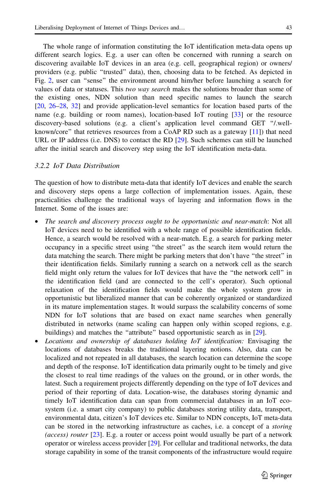The whole range of information constituting the IoT identification meta-data opens up different search logics. E.g. a user can often be concerned with running a search on discovering available IoT devices in an area (e.g. cell, geographical region) or owners/ providers (e.g. public "trusted" data), then, choosing data to be fetched. As depicted in Fig. [2,](#page-11-0) user can ''sense'' the environment around him/her before launching a search for values of data or statuses. This two way search makes the solutions broader than some of the existing ones, NDN solution than need specific names to launch the search [[20](#page-15-0), [26](#page-16-0)–[28](#page-16-0), [32](#page-16-0)] and provide application-level semantics for location based parts of the name (e.g. building or room names), location-based IoT routing [[33](#page-16-0)] or the resource discovery-based solutions (e.g. a client's application level command GET ''/.wellknown/core" that retrieves resources from a CoAP RD such as a gateway  $[11]$  $[11]$  $[11]$ ) that need URL or IP address (i.e. DNS) to contact the RD [[29](#page-16-0)]. Such schemes can still be launched after the initial search and discovery step using the IoT identification meta-data.

### 3.2.2 IoT Data Distribution

The question of how to distribute meta-data that identify IoT devices and enable the search and discovery steps opens a large collection of implementation issues. Again, these practicalities challenge the traditional ways of layering and information flows in the Internet. Some of the issues are:

- The search and discovery process ought to be opportunistic and near-match: Not all IoT devices need to be identified with a whole range of possible identification fields. Hence, a search would be resolved with a near-match. E.g. a search for parking meter occupancy in a specific street using ''the street'' as the search item would return the data matching the search. There might be parking meters that don't have ''the street'' in their identification fields. Similarly running a search on a network cell as the search field might only return the values for IoT devices that have the ''the network cell'' in the identification field (and are connected to the cell's operator). Such optional relaxation of the identification fields would make the whole system grow in opportunistic but liberalized manner that can be coherently organized or standardized in its mature implementation stages. It would surpass the scalability concerns of some NDN for IoT solutions that are based on exact name searches when generally distributed in networks (name scaling can happen only within scoped regions, e.g. buildings) and matches the "attribute" based opportunistic search as in [\[29\]](#page-16-0).
- Locations and ownership of databases holding IoT identification: Envisaging the locations of databases breaks the traditional layering notions. Also, data can be localized and not repeated in all databases, the search location can determine the scope and depth of the response. IoT identification data primarily ought to be timely and give the closest to real time readings of the values on the ground, or in other words, the latest. Such a requirement projects differently depending on the type of IoT devices and period of their reporting of data. Location-wise, the databases storing dynamic and timely IoT identification data can span from commercial databases in an IoT ecosystem (i.e. a smart city company) to public databases storing utility data, transport, environmental data, citizen's IoT devices etc. Similar to NDN concepts, IoT meta-data can be stored in the networking infrastructure as caches, i.e. a concept of a storing (access) router [[23](#page-16-0)]. E.g. a router or access point would usually be part of a network operator or wireless access provider [\[29\]](#page-16-0). For cellular and traditional networks, the data storage capability in some of the transit components of the infrastructure would require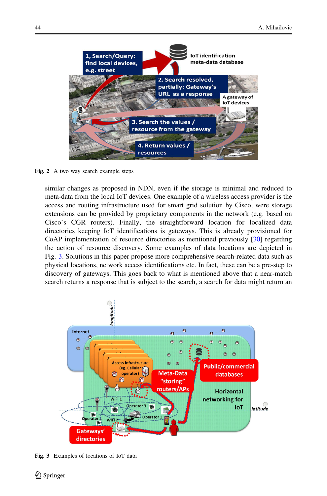<span id="page-11-0"></span>

Fig. 2 A two way search example steps

similar changes as proposed in NDN, even if the storage is minimal and reduced to meta-data from the local IoT devices. One example of a wireless access provider is the access and routing infrastructure used for smart grid solution by Cisco, were storage extensions can be provided by proprietary components in the network (e.g. based on Cisco's CGR routers). Finally, the straightforward location for localized data directories keeping IoT identifications is gateways. This is already provisioned for CoAP implementation of resource directories as mentioned previously [\[30\]](#page-16-0) regarding the action of resource discovery. Some examples of data locations are depicted in Fig. 3. Solutions in this paper propose more comprehensive search-related data such as physical locations, network access identifications etc. In fact, these can be a pre-step to discovery of gateways. This goes back to what is mentioned above that a near-match search returns a response that is subject to the search, a search for data might return an



Fig. 3 Examples of locations of IoT data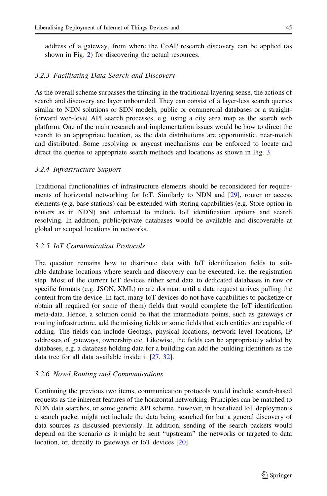address of a gateway, from where the CoAP research discovery can be applied (as shown in Fig. [2\)](#page-11-0) for discovering the actual resources.

#### 3.2.3 Facilitating Data Search and Discovery

As the overall scheme surpasses the thinking in the traditional layering sense, the actions of search and discovery are layer unbounded. They can consist of a layer-less search queries similar to NDN solutions or SDN models, public or commercial databases or a straightforward web-level API search processes, e.g. using a city area map as the search web platform. One of the main research and implementation issues would be how to direct the search to an appropriate location, as the data distributions are opportunistic, near-match and distributed. Some resolving or anycast mechanisms can be enforced to locate and direct the queries to appropriate search methods and locations as shown in Fig. [3](#page-11-0).

#### 3.2.4 Infrastructure Support

Traditional functionalities of infrastructure elements should be reconsidered for requirements of horizontal networking for IoT. Similarly to NDN and [[29](#page-16-0)], router or access elements (e.g. base stations) can be extended with storing capabilities (e.g. Store option in routers as in NDN) and enhanced to include IoT identification options and search resolving. In addition, public/private databases would be available and discoverable at global or scoped locations in networks.

#### 3.2.5 IoT Communication Protocols

The question remains how to distribute data with IoT identification fields to suitable database locations where search and discovery can be executed, i.e. the registration step. Most of the current IoT devices either send data to dedicated databases in raw or specific formats (e.g. JSON, XML) or are dormant until a data request arrives pulling the content from the device. In fact, many IoT devices do not have capabilities to packetize or obtain all required (or some of them) fields that would complete the IoT identification meta-data. Hence, a solution could be that the intermediate points, such as gateways or routing infrastructure, add the missing fields or some fields that such entities are capable of adding. The fields can include Geotags, physical locations, network level locations, IP addresses of gateways, ownership etc. Likewise, the fields can be appropriately added by databases, e.g. a database holding data for a building can add the building identifiers as the data tree for all data available inside it [\[27,](#page-16-0) [32\]](#page-16-0).

#### 3.2.6 Novel Routing and Communications

Continuing the previous two items, communication protocols would include search-based requests as the inherent features of the horizontal networking. Principles can be matched to NDN data searches, or some generic API scheme, however, in liberalized IoT deployments a search packet might not include the data being searched for but a general discovery of data sources as discussed previously. In addition, sending of the search packets would depend on the scenario as it might be sent ''upstream'' the networks or targeted to data location, or, directly to gateways or IoT devices [\[20\]](#page-15-0).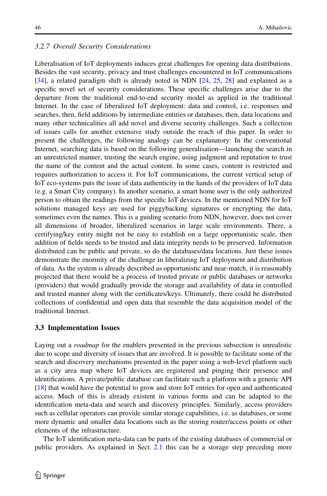### 3.2.7 Overall Security Considerations

Liberalisation of IoT deployments induces great challenges for opening data distributions. Besides the vast security, privacy and trust challenges encountered in IoT communications [[34](#page-16-0)], a related paradigm shift is already noted in NDN [\[24,](#page-16-0) [25](#page-16-0), [28\]](#page-16-0) and explained as a specific novel set of security considerations. These specific challenges arise due to the departure from the traditional end-to-end security model as applied in the traditional Internet. In the case of liberalized IoT deployment: data and control, i.e. responses and searches, then, field additions by intermediate entities or databases, then, data locations and many other technicalities all add novel and diverse security challenges. Such a collection of issues calls for another extensive study outside the reach of this paper. In order to present the challenges, the following analogy can be explanatory: In the conventional Internet, searching data is based on the following generalisation—launching the search in an unrestricted manner, trusting the search engine, using judgment and reputation to trust the name of the content and the actual content. In some cases, content is restricted and requires authorization to access it. For IoT communications, the current vertical setup of IoT eco-systems puts the issue of data authenticity in the hands of the providers of IoT data (e.g. a Smart City company). In another scenario, a smart home user is the only authorized person to obtain the readings from the specific IoT devices. In the mentioned NDN for IoT solutions managed keys are used for piggybacking signatures or encrypting the data, sometimes even the names. This is a guiding scenario from NDN, however, does not cover all dimensions of broader, liberalized scenarios in large scale environments. There, a certifying/key entity might not be easy to establish on a large opportunistic scale, then addition of fields needs to be trusted and data integrity needs to be preserved. Information distributed can be public and private, so do the databases/data locations. Just these issues demonstrate the enormity of the challenge in liberalizing IoT deployment and distribution of data. As the system is already described as opportunistic and near-match, it is reasonably projected that there would be a process of trusted private or public databases or networks (providers) that would gradually provide the storage and availability of data in controlled and trusted manner along with the certificates/keys. Ultimately, there could be distributed collections of confidential and open data that resemble the data acquisition model of the traditional Internet.

#### 3.3 Implementation Issues

Laying out a *roadmap* for the enablers presented in the previous subsection is unrealistic due to scope and diversity of issues that are involved. It is possible to facilitate some of the search and discovery mechanisms presented in the paper using a web-level platform such as a city area map where IoT devices are registered and pinging their presence and identifications. A private/public database can facilitate such a platform with a generic API [[18](#page-15-0)] that would have the potential to grow and store IoT entries for open and authenticated access. Much of this is already existent in various forms and can be adapted to the identification meta-data and search and discovery principles. Similarly, access providers such as cellular operators can provide similar storage capabilities, i.e. as databases, or some more dynamic and smaller data locations such as the storing router/access points or other elements of the infrastructure.

The IoT identification meta-data can be parts of the existing databases of commercial or public providers. As explained in Sect. [2.1](#page-4-0) this can be a storage step preceding more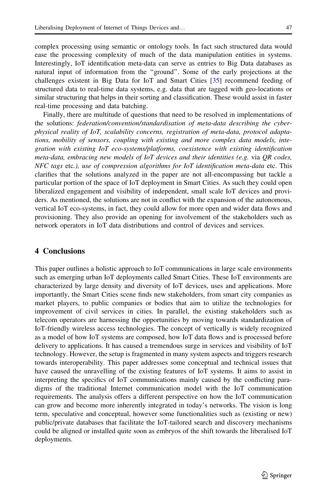<span id="page-14-0"></span>complex processing using semantic or ontology tools. In fact such structured data would ease the processing complexity of much of the data manipulation entities in systems. Interestingly, IoT identification meta-data can serve as entries to Big Data databases as natural input of information from the ''ground''. Some of the early projections at the challenges existent in Big Data for IoT and Smart Cities [[35](#page-16-0)] recommend feeding of structured data to real-time data systems, e.g. data that are tagged with geo-locations or similar structuring that helps in their sorting and classification. These would assist in faster real-time processing and data batching.

Finally, there are multitude of questions that need to be resolved in implementations of the solutions: federation/convention/standardisation of meta-data describing the cyberphysical reality of IoT, scalability concerns, registration of meta-data, protocol adaptations, mobility of sensors, coupling with existing and more complex data models, integration with existing IoT eco-systems/platforms, coexistence with existing identification meta-data, embracing new models of IoT devices and their identities (e.g. via  $QR$  codes, NFC tags etc.), use of compression algorithms for IoT identification meta-data etc. This clarifies that the solutions analyzed in the paper are not all-encompassing but tackle a particular portion of the space of IoT deployment in Smart Cities. As such they could open liberalized engagement and visibility of independent, small scale IoT devices and providers. As mentioned, the solutions are not in conflict with the expansion of the autonomous, vertical IoT eco-systems, in fact, they could allow for more open and wider data flows and provisioning. They also provide an opening for involvement of the stakeholders such as network operators in IoT data distributions and control of devices and services.

### 4 Conclusions

This paper outlines a holistic approach to IoT communications in large scale environments such as emerging urban IoT deployments called Smart Cities. These IoT environments are characterized by large density and diversity of IoT devices, uses and applications. More importantly, the Smart Cities scene finds new stakeholders, from smart city companies as market players, to public companies or bodies that aim to utilize the technologies for improvement of civil services in cities. In parallel, the existing stakeholders such as telecom operators are harnessing the opportunities by moving towards standardization of IoT-friendly wireless access technologies. The concept of vertically is widely recognized as a model of how IoT systems are composed, how IoT data flows and is processed before delivery to applications. It has caused a tremendous surge in services and visibility of IoT technology. However, the setup is fragmented in many system aspects and triggers research towards interoperability. This paper addresses some conceptual and technical issues that have caused the unravelling of the existing features of IoT systems. It aims to assist in interpreting the specifics of IoT communications mainly caused by the conflicting paradigms of the traditional Internet communication model with the IoT communication requirements. The analysis offers a different perspective on how the IoT communication can grow and become more inherently integrated in today's networks. The vision is long term, speculative and conceptual, however some functionalities such as (existing or new) public/private databases that facilitate the IoT-tailored search and discovery mechanisms could be aligned or installed quite soon as embryos of the shift towards the liberalised IoT deployments.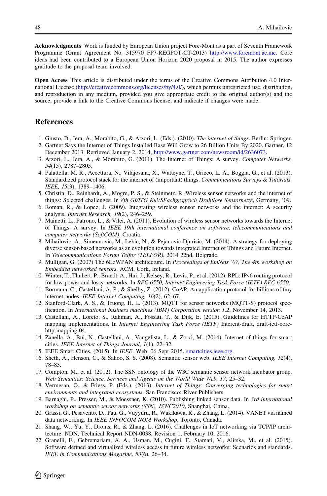<span id="page-15-0"></span>Acknowledgments Work is funded by European Union project Fore-Mont as a part of Seventh Framework Programme (Grant Agreement No. 315970 FP7-REGPOT-CT-2013) [http://www.foremont.ac.me.](http://www.foremont.ac.me) Core ideas had been contributed to a European Union Horizon 2020 proposal in 2015. The author expresses gratitude to the proposal team involved.

Open Access This article is distributed under the terms of the Creative Commons Attribution 4.0 International License [\(http://creativecommons.org/licenses/by/4.0/\)](http://creativecommons.org/licenses/by/4.0/), which permits unrestricted use, distribution, and reproduction in any medium, provided you give appropriate credit to the original author(s) and the source, provide a link to the Creative Commons license, and indicate if changes were made.

### References

- 1. Giusto, D., Iera, A., Morabito, G., & Atzori, L. (Eds.). (2010). The internet of things. Berlin: Springer.
- 2. Gartner Says the Internet of Things Installed Base Will Grow to 26 Billion Units By 2020. Gartner, 12 December 2013. Retrieved January 2, 2014, <http://www.gartner.com/newsroom/id/2636073>.
- 3. Atzori, L., Iera, A., & Morabito, G. (2011). The Internet of Things: A survey. Computer Networks, 54(15), 2787–2805.
- 4. Palattella, M. R., Accettura, N., Vilajosana, X., Watteyne, T., Grieco, L. A., Boggia, G., et al. (2013). Standardized protocol stack for the internet of (important) things. Communications Surveys & Tutorials, IEEE, 15(3), 1389–1406.
- 5. Christin, D., Reinhardt, A., Mogre, P. S., & Steinmetz, R. Wireless sensor networks and the internet of things: Selected challenges. In 8th GI/ITG KuVSFachgespräch Drahtlose Sensornetze, Germany, '09.
- 6. Roman, R., & Lopez, J. (2009). Integrating wireless sensor networks and the internet: A security analysis. Internet Research, 19(2), 246–259.
- 7. Mainetti, L., Patrono, L., & Vilei, A. (2011). Evolution of wireless sensor networks towards the Internet of Things: A survey. In IEEE 19th international conference on software, telecommunications and computer networks (SoftCOM), Croatia.
- 8. Mihailovic, A., Simeunovic, M., Lekic, N., & Pejanovic-Djurisic, M. (2014). A strategy for deploying diverse sensor-based networks as an evolution towards integrated Internet of Things and Future Internet. In Telecommunications Forum Telfor (TELFOR), 2014 22nd, Belgrade.
- 9. Mulligan, G. (2007) The 6LoWPAN architecture. In Proceedings of EmNets '07, The 4th workshop on Embedded networked sensors. ACM, Cork, Ireland.
- 10. Winter, T., Thubert, P., Brandt, A., Hui, J., Kelsey, R., Levis, P., et al. (2012). RPL: IPv6 routing protocol for low-power and lossy networks. In RFC 6550, Internet Engineering Task Force (IETF) RFC 6550.
- 11. Bormann, C., Castellani, A. P., & Shelby, Z. (2012). CoAP: An application protocol for billions of tiny internet nodes. IEEE Internet Computing, 16(2), 62–67.
- 12. Stanford-Clark, A. S., & Truong, H. L. (2013). MQTT for sensor networks (MQTT-S) protocol specification. In International business machines (IBM) Corporation version 1.2, November 14, 2013.
- 13. Castellani, A., Loreto, S., Rahman, A., Fossati, T., & Dijk, E. (2015). Guidelines for HTTP-CoAP mapping implementations. In *Internet Engineering Task Force (IETF)* Interent-draft, draft-ietf-corehttp-mapping-04.
- 14. Zanella, A., Bui, N., Castellani, A., Vangelista, L., & Zorzi, M. (2014). Internet of things for smart cities. IEEE Internet of Things Journal, 1(1), 22–32.
- 15. IEEE Smart Cities. (2015). In IEEE. Web. 06 Sept 2015. [smartcities.ieee.org](https://smartcities.ieee.org).
- 16. Sheth, A., Henson, C., & Sahoo, S. S. (2008). Semantic sensor web. IEEE Internet Computing, 12(4), 78–83.
- 17. Compton, M., et al. (2012). The SSN ontology of the W3C semantic sensor network incubator group. Web Semantics: Science, Services and Agents on the World Wide Web, 17, 25–32.
- 18. Vermesan, O., & Friess, P. (Eds.). (2013). Internet of Things: Converging technologies for smart environments and integrated ecosystems. San Francisco: River Publishers.
- 19. Barnaghi, P., Presser, M., & Moessner, K. (2010). Publishing linked sensor data. In 3rd international workshop on semantic sensor networks (SSN), ISWC2010, Shanghai, China.
- 20. Grassi, G., Pesavento, D., Pau, G., Vuyyuru, R., Wakikawa, R., & Zhang, L. (2014). VANET via named data networking. In IEEE INFOCOM NOM Workshop, Toronto, Canada.
- 21. Shang, W., Yu, Y., Droms, R., & Zhang, L. (2016). Challenges in IoT networking via TCP/IP architecture. NDN, Technical Report NDN-0038, Revision 1, February 10, 2016.
- 22. Granelli, F., Gebremariam, A. A., Usman, M., Cugini, F., Stamati, V., Alitska, M., et al. (2015). Software defined and virtualized wireless access in future wireless networks: Scenarios and standards. IEEE in Communications Magazine, 53(6), 26–34.